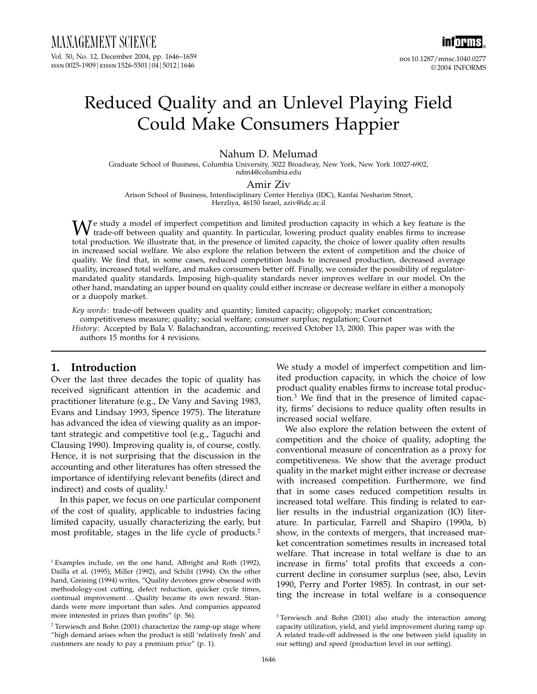

# Reduced Quality and an Unlevel Playing Field Could Make Consumers Happier

Nahum D. Melumad

Graduate School of Business, Columbia University, 3022 Broadway, New York, New York 10027-6902, ndm4@columbia.edu

Amir Ziv

Arison School of Business, Interdisciplinary Center Herzliya (IDC), Kanfai Nesharim Street, Herzliya, 46150 Israel, aziv@idc.ac.il

We study a model of imperfect competition and limited production capacity in which a key feature is the trade-off between quality and quantity. In particular, lowering product quality enables firms to increase total production. We illustrate that, in the presence of limited capacity, the choice of lower quality often results in increased social welfare. We also explore the relation between the extent of competition and the choice of quality. We find that, in some cases, reduced competition leads to increased production, decreased average quality, increased total welfare, and makes consumers better off. Finally, we consider the possibility of regulatormandated quality standards. Imposing high-quality standards never improves welfare in our model. On the other hand, mandating an upper bound on quality could either increase or decrease welfare in either a monopoly or a duopoly market.

Key words: trade-off between quality and quantity; limited capacity; oligopoly; market concentration; competitiveness measure; quality; social welfare; consumer surplus; regulation; Cournot

History: Accepted by Bala V. Balachandran, accounting; received October 13, 2000. This paper was with the authors 15 months for 4 revisions.

## 1. Introduction

Over the last three decades the topic of quality has received significant attention in the academic and practitioner literature (e.g., De Vany and Saving 1983, Evans and Lindsay 1993, Spence 1975). The literature has advanced the idea of viewing quality as an important strategic and competitive tool (e.g., Taguchi and Clausing 1990). Improving quality is, of course, costly. Hence, it is not surprising that the discussion in the accounting and other literatures has often stressed the importance of identifying relevant benefits (direct and indirect) and costs of quality.<sup>1</sup>

In this paper, we focus on one particular component of the cost of quality, applicable to industries facing limited capacity, usually characterizing the early, but most profitable, stages in the life cycle of products.<sup>2</sup>

We study a model of imperfect competition and limited production capacity, in which the choice of low product quality enables firms to increase total production.<sup>3</sup> We find that in the presence of limited capacity, firms' decisions to reduce quality often results in increased social welfare.

We also explore the relation between the extent of competition and the choice of quality, adopting the conventional measure of concentration as a proxy for competitiveness. We show that the average product quality in the market might either increase or decrease with increased competition. Furthermore, we find that in some cases reduced competition results in increased total welfare. This finding is related to earlier results in the industrial organization (IO) literature. In particular, Farrell and Shapiro (1990a, b) show, in the contexts of mergers, that increased market concentration sometimes results in increased total welfare. That increase in total welfare is due to an increase in firms' total profits that exceeds a concurrent decline in consumer surplus (see, also, Levin 1990, Perry and Porter 1985). In contrast, in our setting the increase in total welfare is a consequence

<sup>&</sup>lt;sup>1</sup> Examples include, on the one hand, Albright and Roth (1992), Dailla et al. (1995), Miller (1992), and Schilit (1994). On the other hand, Greising (1994) writes, "Quality devotees grew obsessed with methodology-cost cutting, defect reduction, quicker cycle times, continual improvement... Quality became its own reward. Standards were more important than sales. And companies appeared more interested in prizes than profits" (p. 56).

<sup>2</sup> Terwiesch and Bohn (2001) characterize the ramp-up stage where "high demand arises when the product is still 'relatively fresh' and customers are ready to pay a premium price" (p. 1).

<sup>&</sup>lt;sup>3</sup> Terwiesch and Bohn (2001) also study the interaction among capacity utilization, yield, and yield improvement during ramp up. A related trade-off addressed is the one between yield (quality in our setting) and speed (production level in our setting).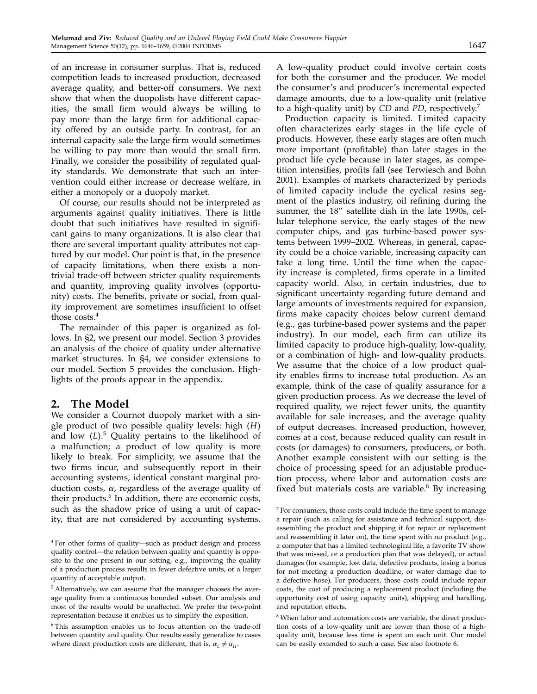of an increase in consumer surplus. That is, reduced competition leads to increased production, decreased average quality, and better-off consumers. We next show that when the duopolists have different capacities, the small firm would always be willing to pay more than the large firm for additional capacity offered by an outside party. In contrast, for an internal capacity sale the large firm would sometimes be willing to pay more than would the small firm. Finally, we consider the possibility of regulated quality standards. We demonstrate that such an intervention could either increase or decrease welfare, in either a monopoly or a duopoly market.

Of course, our results should not be interpreted as arguments against quality initiatives. There is little doubt that such initiatives have resulted in significant gains to many organizations. It is also clear that there are several important quality attributes not captured by our model. Our point is that, in the presence of capacity limitations, when there exists a nontrivial trade-off between stricter quality requirements and quantity, improving quality involves (opportunity) costs. The benefits, private or social, from quality improvement are sometimes insufficient to offset those costs.<sup>4</sup>

The remainder of this paper is organized as follows. In §2, we present our model. Section 3 provides an analysis of the choice of quality under alternative market structures. In §4, we consider extensions to our model. Section 5 provides the conclusion. Highlights of the proofs appear in the appendix.

# 2. The Model

We consider a Cournot duopoly market with a single product of two possible quality levels: high  $(H)$ and low  $(L)$ .<sup>5</sup> Quality pertains to the likelihood of a malfunction; a product of low quality is more likely to break. For simplicity, we assume that the two firms incur, and subsequently report in their accounting systems, identical constant marginal production costs,  $\alpha$ , regardless of the average quality of their products. $6$  In addition, there are economic costs, such as the shadow price of using a unit of capacity, that are not considered by accounting systems.

A low-quality product could involve certain costs for both the consumer and the producer. We model the consumer's and producer's incremental expected damage amounts, due to a low-quality unit (relative to a high-quality unit) by  $CD$  and  $PD$ , respectively.<sup>7</sup>

Production capacity is limited. Limited capacity often characterizes early stages in the life cycle of products. However, these early stages are often much more important (profitable) than later stages in the product life cycle because in later stages, as competition intensifies, profits fall (see Terwiesch and Bohn 2001). Examples of markets characterized by periods of limited capacity include the cyclical resins segment of the plastics industry, oil refining during the summer, the 18" satellite dish in the late 1990s, cellular telephone service, the early stages of the new computer chips, and gas turbine-based power systems between 1999–2002. Whereas, in general, capacity could be a choice variable, increasing capacity can take a long time. Until the time when the capacity increase is completed, firms operate in a limited capacity world. Also, in certain industries, due to significant uncertainty regarding future demand and large amounts of investments required for expansion, firms make capacity choices below current demand (e.g., gas turbine-based power systems and the paper industry). In our model, each firm can utilize its limited capacity to produce high-quality, low-quality, or a combination of high- and low-quality products. We assume that the choice of a low product quality enables firms to increase total production. As an example, think of the case of quality assurance for a given production process. As we decrease the level of required quality, we reject fewer units, the quantity available for sale increases, and the average quality of output decreases. Increased production, however, comes at a cost, because reduced quality can result in costs (or damages) to consumers, producers, or both. Another example consistent with our setting is the choice of processing speed for an adjustable production process, where labor and automation costs are fixed but materials costs are variable. $8$  By increasing

<sup>4</sup> For other forms of quality—such as product design and process quality control—the relation between quality and quantity is opposite to the one present in our setting, e.g., improving the quality of a production process results in fewer defective units, or a larger quantity of acceptable output.

<sup>&</sup>lt;sup>5</sup> Alternatively, we can assume that the manager chooses the average quality from a continuous bounded subset. Our analysis and most of the results would be unaffected. We prefer the two-point representation because it enables us to simplify the exposition.

<sup>6</sup> This assumption enables us to focus attention on the trade-off between quantity and quality. Our results easily generalize to cases where direct production costs are different, that is,  $\alpha_L \neq \alpha_H$ .

<sup>7</sup> For consumers, those costs could include the time spent to manage a repair (such as calling for assistance and technical support, disassembling the product and shipping it for repair or replacement and reassembling it later on), the time spent with no product (e.g., a computer that has a limited technological life, a favorite TV show that was missed, or a production plan that was delayed), or actual damages (for example, lost data, defective products, losing a bonus for not meeting a production deadline, or water damage due to a defective hose). For producers, those costs could include repair costs, the cost of producing a replacement product (including the opportunity cost of using capacity units), shipping and handling, and reputation effects.

<sup>&</sup>lt;sup>8</sup> When labor and automation costs are variable, the direct production costs of a low-quality unit are lower than those of a highquality unit, because less time is spent on each unit. Our model can be easily extended to such a case. See also footnote 6.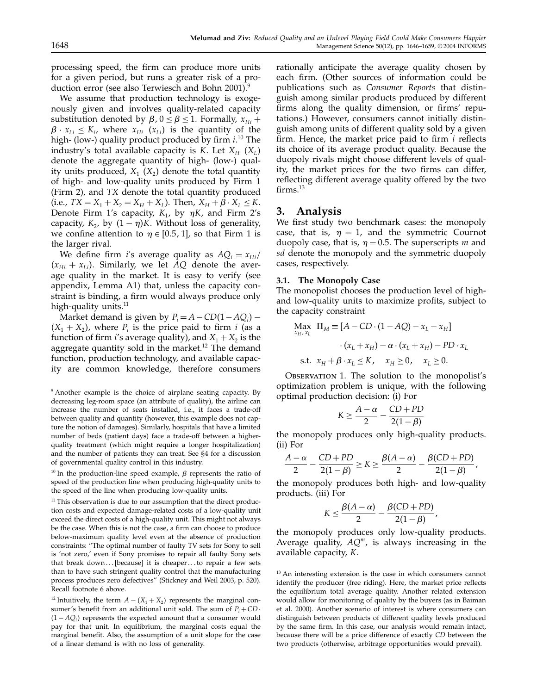processing speed, the firm can produce more units for a given period, but runs a greater risk of a production error (see also Terwiesch and Bohn 2001).<sup>9</sup>

We assume that production technology is exogenously given and involves quality-related capacity substitution denoted by  $\beta$ ,  $0 \le \beta \le 1$ . Formally,  $x_{Hi}$  +  $\beta \cdot x_{Li} \leq K_i$ , where  $x_{Hi}$   $(x_{Li})$  is the quantity of the high- (low-) quality product produced by firm  $i.^{10}$  The industry's total available capacity is K. Let  $X_{H}\,\left(X_{L}\right)$ denote the aggregate quantity of high- (low-) quality units produced,  $X_1$   $(X_2)$  denote the total quantity of high- and low-quality units produced by Firm 1 (Firm 2), and TX denote the total quantity produced (i.e.,  $TX = X_1 + X_2 = X_H + X_L$ ). Then,  $X_H + \beta \cdot X_L \leq K$ . Denote Firm 1's capacity,  $K_1$ , by  $\eta K$ , and Firm 2's capacity,  $K_2$ , by  $(1 - \eta)K$ . Without loss of generality, we confine attention to  $\eta \in [0.5, 1]$ , so that Firm 1 is the larger rival.

We define firm *i's* average quality as  $AQ_i = x_{Hi}$ /  $(x_{Hi} + x_{Li})$ . Similarly, we let AQ denote the average quality in the market. It is easy to verify (see appendix, Lemma A1) that, unless the capacity constraint is binding, a firm would always produce only high-quality units.<sup>11</sup>

Market demand is given by  $P_i = A - CD(1 - AQ_i) (X_1 + X_2)$ , where  $P_i$  is the price paid to firm *i* (as a function of firm *i's* average quality), and  $X_1 + X_2$  is the aggregate quantity sold in the market.<sup>12</sup> The demand function, production technology, and available capacity are common knowledge, therefore consumers

<sup>9</sup> Another example is the choice of airplane seating capacity. By decreasing leg-room space (an attribute of quality), the airline can increase the number of seats installed, i.e., it faces a trade-off between quality and quantity (however, this example does not capture the notion of damages). Similarly, hospitals that have a limited number of beds (patient days) face a trade-off between a higherquality treatment (which might require a longer hospitalization) and the number of patients they can treat. See §4 for a discussion of governmental quality control in this industry.

<sup>10</sup> In the production-line speed example,  $\beta$  represents the ratio of speed of the production line when producing high-quality units to the speed of the line when producing low-quality units.

 $11$  This observation is due to our assumption that the direct production costs and expected damage-related costs of a low-quality unit exceed the direct costs of a high-quality unit. This might not always be the case. When this is not the case, a firm can choose to produce below-maximum quality level even at the absence of production constraints: "The optimal number of faulty TV sets for Sony to sell is 'not zero,' even if Sony promises to repair all faulty Sony sets that break down...[because] it is cheaper...to repair a few sets than to have such stringent quality control that the manufacturing process produces zero defectives" (Stickney and Weil 2003, p. 520). Recall footnote 6 above.

<sup>12</sup> Intuitively, the term  $A - (X_1 + X_2)$  represents the marginal consumer's benefit from an additional unit sold. The sum of  $P_i + CD$ .  $(1 - AQ_i)$  represents the expected amount that a consumer would pay for that unit. In equilibrium, the marginal costs equal the marginal benefit. Also, the assumption of a unit slope for the case of a linear demand is with no loss of generality.

rationally anticipate the average quality chosen by each firm. (Other sources of information could be publications such as Consumer Reports that distinguish among similar products produced by different firms along the quality dimension, or firms' reputations.) However, consumers cannot initially distinguish among units of different quality sold by a given firm. Hence, the market price paid to firm  $i$  reflects its choice of its average product quality. Because the duopoly rivals might choose different levels of quality, the market prices for the two firms can differ, reflecting different average quality offered by the two  $firms.<sup>13</sup>$ 

## 3. Analysis

We first study two benchmark cases: the monopoly case, that is,  $\eta = 1$ , and the symmetric Cournot duopoly case, that is,  $\eta = 0.5$ . The superscripts *m* and sd denote the monopoly and the symmetric duopoly cases, respectively.

## 3.1. The Monopoly Case

The monopolist chooses the production level of highand low-quality units to maximize profits, subject to the capacity constraint

$$
\begin{aligned} \text{Max} \quad & \Pi_M \equiv [A - CD \cdot (1 - AQ) - x_L - x_H] \\ & \cdot (x_L + x_H) - \alpha \cdot (x_L + x_H) - PD \cdot x_L \\ \text{s.t.} \quad & x_H + \beta \cdot x_L \le K, \quad x_H \ge 0, \quad x_L \ge 0. \end{aligned}
$$

Observation 1. The solution to the monopolist's optimization problem is unique, with the following optimal production decision: (i) For

$$
K \ge \frac{A - \alpha}{2} - \frac{CD + PD}{2(1 - \beta)}
$$

the monopoly produces only high-quality products. (ii) For

$$
\frac{A-\alpha}{2}-\frac{CD+PD}{2(1-\beta)}\geq K\geq \frac{\beta(A-\alpha)}{2}-\frac{\beta(CD+PD)}{2(1-\beta)},
$$

the monopoly produces both high- and low-quality products. (iii) For

$$
K \leq \frac{\beta(A-\alpha)}{2} - \frac{\beta(CD+PD)}{2(1-\beta)},
$$

the monopoly produces only low-quality products. Average quality,  $AQ^m$ , is always increasing in the available capacity, K.

<sup>13</sup> An interesting extension is the case in which consumers cannot identify the producer (free riding). Here, the market price reflects the equilibrium total average quality. Another related extension would allow for monitoring of quality by the buyers (as in Baiman et al. 2000). Another scenario of interest is where consumers can distinguish between products of different quality levels produced by the same firm. In this case, our analysis would remain intact, because there will be a price difference of exactly CD between the two products (otherwise, arbitrage opportunities would prevail).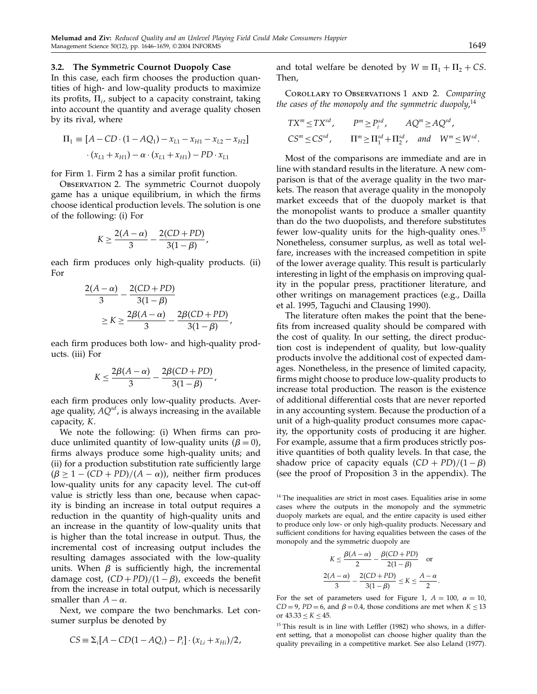#### 3.2. The Symmetric Cournot Duopoly Case

In this case, each firm chooses the production quantities of high- and low-quality products to maximize its profits,  $\Pi_i$ , subject to a capacity constraint, taking into account the quantity and average quality chosen by its rival, where

$$
\Pi_1 \equiv [A - CD \cdot (1 - AQ_1) - x_{L1} - x_{H1} - x_{L2} - x_{H2}]
$$

$$
\cdot (x_{L1} + x_{H1}) - \alpha \cdot (x_{L1} + x_{H1}) - PD \cdot x_{L1}
$$

for Firm 1. Firm 2 has a similar profit function.

Observation 2. The symmetric Cournot duopoly game has a unique equilibrium, in which the firms choose identical production levels. The solution is one of the following: (i) For

$$
K \geq \frac{2(A-\alpha)}{3} - \frac{2(CD+PD)}{3(1-\beta)},
$$

each firm produces only high-quality products. (ii) For

$$
\frac{2(A-\alpha)}{3} - \frac{2(CD+PD)}{3(1-\beta)}
$$
  
\n
$$
\geq K \geq \frac{2\beta(A-\alpha)}{3} - \frac{2\beta(CD+PD)}{3(1-\beta)},
$$

each firm produces both low- and high-quality products. (iii) For

$$
K \leq \frac{2\beta(A-\alpha)}{3} - \frac{2\beta(CD+PD)}{3(1-\beta)},
$$

each firm produces only low-quality products. Average quality,  $AQ^{sd}$ , is always increasing in the available capacity, K.

We note the following: (i) When firms can produce unlimited quantity of low-quality units  $(\beta = 0)$ , firms always produce some high-quality units; and (ii) for a production substitution rate sufficiently large  $(\beta \geq 1 - (CD + PD)/(A - \alpha))$ , neither firm produces low-quality units for any capacity level. The cut-off value is strictly less than one, because when capacity is binding an increase in total output requires a reduction in the quantity of high-quality units and an increase in the quantity of low-quality units that is higher than the total increase in output. Thus, the incremental cost of increasing output includes the resulting damages associated with the low-quality units. When  $\beta$  is sufficiently high, the incremental damage cost,  $(CD + PD)/(1 - \beta)$ , exceeds the benefit from the increase in total output, which is necessarily smaller than  $A - \alpha$ .

Next, we compare the two benchmarks. Let consumer surplus be denoted by

$$
CS \equiv \sum_i [A - CD(1 - AQ_i) - P_i] \cdot (x_{Li} + x_{Hi})/2,
$$

and total welfare be denoted by  $W = \Pi_1 + \Pi_2 + CS$ . Then,

Corollary to Observations 1 and 2. Comparing the cases of the monopoly and the symmetric duopoly, $14$ 

$$
TX^m \le TX^{sd}, \qquad P^m \ge P_i^{sd}, \qquad AQ^m \ge AQ^{sd},
$$
  

$$
CS^m \le CS^{sd}, \qquad \Pi^m \ge \Pi_1^{sd} + \Pi_2^{sd}, \qquad and \qquad W^m \le W^{sd}.
$$

Most of the comparisons are immediate and are in line with standard results in the literature. A new comparison is that of the average quality in the two markets. The reason that average quality in the monopoly market exceeds that of the duopoly market is that the monopolist wants to produce a smaller quantity than do the two duopolists, and therefore substitutes fewer low-quality units for the high-quality ones.<sup>15</sup> Nonetheless, consumer surplus, as well as total welfare, increases with the increased competition in spite of the lower average quality. This result is particularly interesting in light of the emphasis on improving quality in the popular press, practitioner literature, and other writings on management practices (e.g., Dailla et al. 1995, Taguchi and Clausing 1990).

The literature often makes the point that the benefits from increased quality should be compared with the cost of quality. In our setting, the direct production cost is independent of quality, but low-quality products involve the additional cost of expected damages. Nonetheless, in the presence of limited capacity, firms might choose to produce low-quality products to increase total production. The reason is the existence of additional differential costs that are never reported in any accounting system. Because the production of a unit of a high-quality product consumes more capacity, the opportunity costs of producing it are higher. For example, assume that a firm produces strictly positive quantities of both quality levels. In that case, the shadow price of capacity equals  $(CD + PD)/(1 - \beta)$ (see the proof of Proposition 3 in the appendix). The

 $14$  The inequalities are strict in most cases. Equalities arise in some cases where the outputs in the monopoly and the symmetric duopoly markets are equal, and the entire capacity is used either to produce only low- or only high-quality products. Necessary and sufficient conditions for having equalities between the cases of the monopoly and the symmetric duopoly are

$$
K \leq \frac{\beta(A-\alpha)}{2} - \frac{\beta(CD+PD)}{2(1-\beta)}
$$
 or  

$$
\frac{2(A-\alpha)}{3} - \frac{2(CD+PD)}{3(1-\beta)} \leq K \leq \frac{A-\alpha}{2}.
$$

For the set of parameters used for Figure 1,  $A = 100$ ,  $\alpha = 10$ ,  $CD = 9$ ,  $PD = 6$ , and  $\beta = 0.4$ , those conditions are met when  $K \le 13$ or  $43.33 \le K \le 45$ .

<sup>15</sup> This result is in line with Leffler (1982) who shows, in a different setting, that a monopolist can choose higher quality than the quality prevailing in a competitive market. See also Leland (1977).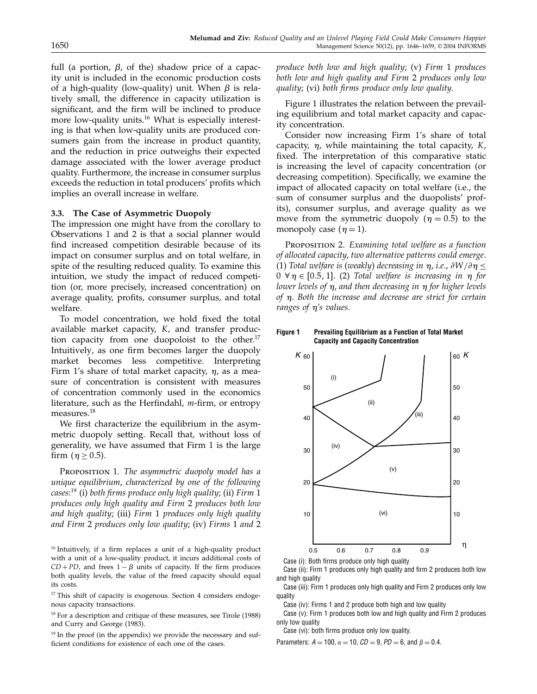full (a portion,  $\beta$ , of the) shadow price of a capacity unit is included in the economic production costs of a high-quality (low-quality) unit. When  $\beta$  is relatively small, the difference in capacity utilization is significant, and the firm will be inclined to produce more low-quality units.<sup>16</sup> What is especially interesting is that when low-quality units are produced consumers gain from the increase in product quantity, and the reduction in price outweighs their expected damage associated with the lower average product quality. Furthermore, the increase in consumer surplus exceeds the reduction in total producers' profits which implies an overall increase in welfare.

#### 3.3. The Case of Asymmetric Duopoly

The impression one might have from the corollary to Observations 1 and 2 is that a social planner would find increased competition desirable because of its impact on consumer surplus and on total welfare, in spite of the resulting reduced quality. To examine this intuition, we study the impact of reduced competition (or, more precisely, increased concentration) on average quality, profits, consumer surplus, and total welfare.

To model concentration, we hold fixed the total available market capacity, K, and transfer production capacity from one duopoloist to the other.<sup>17</sup> Intuitively, as one firm becomes larger the duopoly market becomes less competitive. Interpreting Firm 1's share of total market capacity,  $\eta$ , as a measure of concentration is consistent with measures of concentration commonly used in the economics literature, such as the Herfindahl, m-firm, or entropy measures.<sup>18</sup>

We first characterize the equilibrium in the asymmetric duopoly setting. Recall that, without loss of generality, we have assumed that Firm 1 is the large firm  $(\eta \ge 0.5)$ .

PROPOSITION 1. The asymmetric duopoly model has a unique equilibrium, characterized by one of the following cases:<sup>19</sup> (i) both firms produce only high quality; (ii) Firm  $1$ produces only high quality and Firm 2 produces both low and high quality; (iii) Firm 1 produces only high quality and Firm 2 produces only low quality; (iv) Firms 1 and 2

<sup>16</sup> Intuitively, if a firm replaces a unit of a high-quality product with a unit of a low-quality product, it incurs additional costs of  $CD + PD$ , and frees  $1 - \beta$  units of capacity. If the firm produces both quality levels, the value of the freed capacity should equal its costs.

<sup>17</sup> This shift of capacity is exogenous. Section 4 considers endogenous capacity transactions.

<sup>18</sup> For a description and critique of these measures, see Tirole (1988) and Curry and George (1983).

 $19$  In the proof (in the appendix) we provide the necessary and sufficient conditions for existence of each one of the cases.

produce both low and high quality; (v) Firm 1 produces both low and high quality and Firm 2 produces only low quality; (vi) both firms produce only low quality.

Figure 1 illustrates the relation between the prevailing equilibrium and total market capacity and capacity concentration.

Consider now increasing Firm 1's share of total capacity,  $\eta$ , while maintaining the total capacity,  $K$ , fixed. The interpretation of this comparative static is increasing the level of capacity concentration (or decreasing competition). Specifically, we examine the impact of allocated capacity on total welfare (i.e., the sum of consumer surplus and the duopolists' profits), consumer surplus, and average quality as we move from the symmetric duopoly  $(\eta = 0.5)$  to the monopoly case  $(\eta = 1)$ .

PROPOSITION 2. Examining total welfare as a function of allocated capacity, two alternative patterns could emerge. (1) Total welfare is (weakly) decreasing in  $\eta$ , i.e.,  $\partial W/\partial \eta \leq$  $0 \ \forall \eta \in [0.5, 1]$ . (2) Total welfare is increasing in  $\eta$  for lower levels of  $\eta$ , and then decreasing in  $\eta$  for higher levels of  $\eta$ . Both the increase and decrease are strict for certain ranges of  $\eta$ 's values.





Case (i): Both firms produce only high quality

Case (ii): Firm 1 produces only high quality and firm 2 produces both low and high quality

Case (iii): Firm 1 produces only high quality and Firm 2 produces only low quality

Case (iv): Firms 1 and 2 produce both high and low quality

Case (v): Firm 1 produces both low and high quality and Firm 2 produces only low quality

Case (vi): both firms produce only low quality.

Parameters:  $A = 100$ ,  $\alpha = 10$ ,  $CD = 9$ ,  $PD = 6$ , and  $\beta = 0.4$ .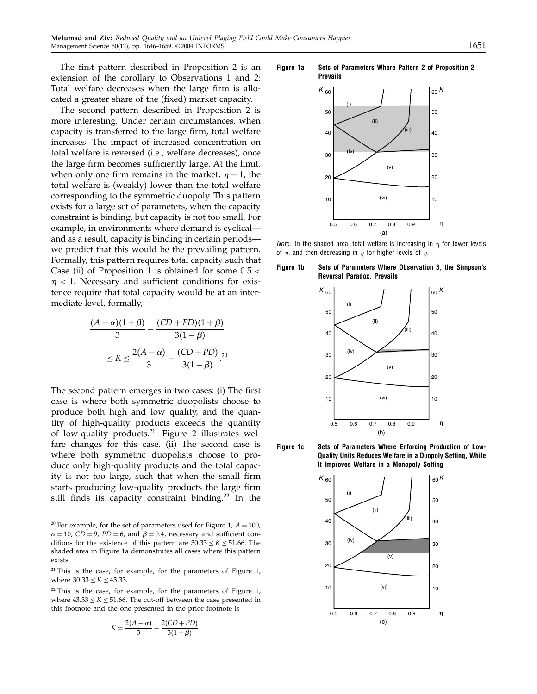The first pattern described in Proposition 2 is an extension of the corollary to Observations 1 and 2: Total welfare decreases when the large firm is allocated a greater share of the (fixed) market capacity.

The second pattern described in Proposition 2 is more interesting. Under certain circumstances, when capacity is transferred to the large firm, total welfare increases. The impact of increased concentration on total welfare is reversed (i.e., welfare decreases), once the large firm becomes sufficiently large. At the limit, when only one firm remains in the market,  $\eta = 1$ , the total welfare is (weakly) lower than the total welfare corresponding to the symmetric duopoly. This pattern exists for a large set of parameters, when the capacity constraint is binding, but capacity is not too small. For example, in environments where demand is cyclical and as a result, capacity is binding in certain periods we predict that this would be the prevailing pattern. Formally, this pattern requires total capacity such that Case (ii) of Proposition 1 is obtained for some  $0.5 <$  $\eta$  < 1. Necessary and sufficient conditions for existence require that total capacity would be at an intermediate level, formally,

$$
\frac{(A - \alpha)(1 + \beta)}{3} - \frac{(CD + PD)(1 + \beta)}{3(1 - \beta)}
$$

$$
\leq K \leq \frac{2(A - \alpha)}{3} - \frac{(CD + PD)}{3(1 - \beta)}^{20}
$$

The second pattern emerges in two cases: (i) The first case is where both symmetric duopolists choose to produce both high and low quality, and the quantity of high-quality products exceeds the quantity of low-quality products.<sup>21</sup> Figure 2 illustrates welfare changes for this case. (ii) The second case is where both symmetric duopolists choose to produce only high-quality products and the total capacity is not too large, such that when the small firm starts producing low-quality products the large firm still finds its capacity constraint binding.<sup>22</sup> In the

<sup>20</sup> For example, for the set of parameters used for Figure 1,  $A = 100$ ,  $\alpha = 10$ , CD = 9, PD = 6, and  $\beta = 0.4$ , necessary and sufficient conditions for the existence of this pattern are  $30.33 \le K \le 51.66$ . The shaded area in Figure 1a demonstrates all cases where this pattern exists.

 $21$  This is the case, for example, for the parameters of Figure 1, where  $30.33 \le K \le 43.33$ .

 $22$  This is the case, for example, for the parameters of Figure 1, where  $43.33 \leq K \leq 51.66$ . The cut-off between the case presented in this footnote and the one presented in the prior footnote is

$$
K = \frac{2(A - \alpha)}{3} - \frac{2(CD + PD)}{3(1 - \beta)}.
$$

Figure 1a Sets of Parameters Where Pattern 2 of Proposition 2 Prevails



*Note*. In the shaded area, total welfare is increasing in  $\eta$  for lower levels of  $\eta$ , and then decreasing in  $\eta$  for higher levels of  $\eta$ .







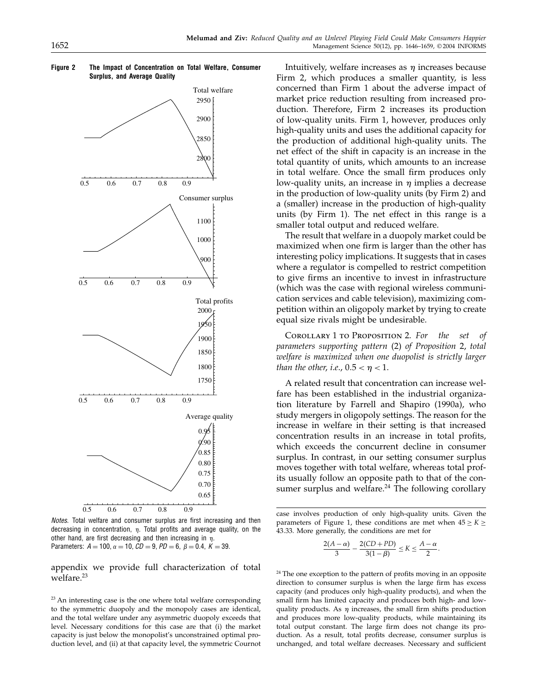

Figure 2 The Impact of Concentration on Total Welfare, Consumer Surplus, and Average Quality

Notes. Total welfare and consumer surplus are first increasing and then decreasing in concentration,  $\eta$ . Total profits and average quality, on the other hand, are first decreasing and then increasing in  $\eta$ . Parameters:  $A = 100$ ,  $\alpha = 10$ ,  $CD = 9$ ,  $PD = 6$ ,  $\beta = 0.4$ ,  $K = 39$ .

appendix we provide full characterization of total welfare.<sup>23</sup>

<sup>23</sup> An interesting case is the one where total welfare corresponding to the symmetric duopoly and the monopoly cases are identical, and the total welfare under any asymmetric duopoly exceeds that level. Necessary conditions for this case are that (i) the market capacity is just below the monopolist's unconstrained optimal production level, and (ii) at that capacity level, the symmetric Cournot

Intuitively, welfare increases as  $\eta$  increases because Firm 2, which produces a smaller quantity, is less concerned than Firm 1 about the adverse impact of market price reduction resulting from increased production. Therefore, Firm 2 increases its production of low-quality units. Firm 1, however, produces only high-quality units and uses the additional capacity for the production of additional high-quality units. The net effect of the shift in capacity is an increase in the total quantity of units, which amounts to an increase in total welfare. Once the small firm produces only low-quality units, an increase in  $\eta$  implies a decrease in the production of low-quality units (by Firm 2) and a (smaller) increase in the production of high-quality units (by Firm 1). The net effect in this range is a smaller total output and reduced welfare.

The result that welfare in a duopoly market could be maximized when one firm is larger than the other has interesting policy implications. It suggests that in cases where a regulator is compelled to restrict competition to give firms an incentive to invest in infrastructure (which was the case with regional wireless communication services and cable television), maximizing competition within an oligopoly market by trying to create equal size rivals might be undesirable.

Corollary 1 to Proposition 2. For the set of parameters supporting pattern (2) of Proposition 2, total welfare is maximized when one duopolist is strictly larger than the other, i.e.,  $0.5 < \eta < 1$ .

A related result that concentration can increase welfare has been established in the industrial organization literature by Farrell and Shapiro (1990a), who study mergers in oligopoly settings. The reason for the increase in welfare in their setting is that increased concentration results in an increase in total profits, which exceeds the concurrent decline in consumer surplus. In contrast, in our setting consumer surplus moves together with total welfare, whereas total profits usually follow an opposite path to that of the consumer surplus and welfare. $24$  The following corollary

case involves production of only high-quality units. Given the parameters of Figure 1, these conditions are met when  $45 \geq K \geq$ 4333. More generally, the conditions are met for

$$
\frac{2(A-\alpha)}{3}-\frac{2(CD+PD)}{3(1-\beta)}\leq K\leq \frac{A-\alpha}{2}.
$$

 $24$  The one exception to the pattern of profits moving in an opposite direction to consumer surplus is when the large firm has excess capacity (and produces only high-quality products), and when the small firm has limited capacity and produces both high- and lowquality products. As  $\eta$  increases, the small firm shifts production and produces more low-quality products, while maintaining its total output constant. The large firm does not change its production. As a result, total profits decrease, consumer surplus is unchanged, and total welfare decreases. Necessary and sufficient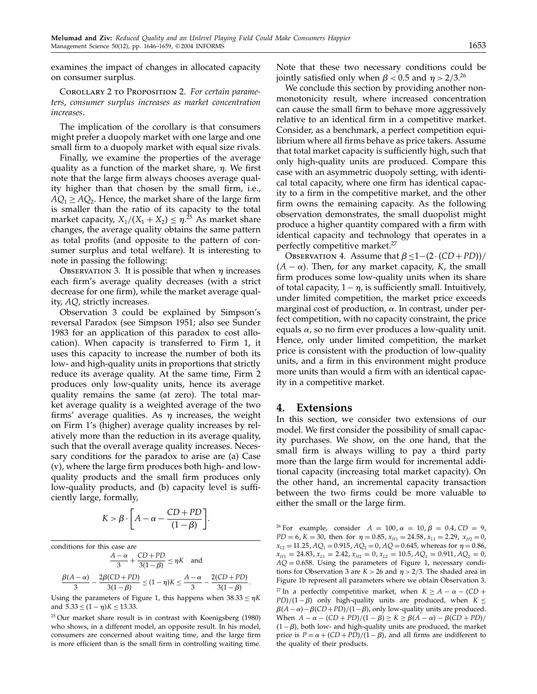examines the impact of changes in allocated capacity on consumer surplus.

Corollary 2 to Proposition 2. For certain parameters, consumer surplus increases as market concentration increases.

The implication of the corollary is that consumers might prefer a duopoly market with one large and one small firm to a duopoly market with equal size rivals.

Finally, we examine the properties of the average quality as a function of the market share,  $\eta$ . We first note that the large firm always chooses average quality higher than that chosen by the small firm, i.e.,  $AQ_1 \geq AQ_2$ . Hence, the market share of the large firm is smaller than the ratio of its capacity to the total market capacity,  $X_1/(X_1 + X_2) \le \eta^{25}$  As market share changes, the average quality obtains the same pattern as total profits (and opposite to the pattern of consumer surplus and total welfare). It is interesting to note in passing the following:

OBSERVATION 3. It is possible that when  $\eta$  increases each firm's average quality decreases (with a strict decrease for one firm), while the market average quality, AQ, strictly increases.

Observation 3 could be explained by Simpson's reversal Paradox (see Simpson 1951; also see Sunder 1983 for an application of this paradox to cost allocation). When capacity is transferred to Firm 1, it uses this capacity to increase the number of both its low- and high-quality units in proportions that strictly reduce its average quality. At the same time, Firm 2 produces only low-quality units, hence its average quality remains the same (at zero). The total market average quality is a weighted average of the two firms' average qualities. As  $\eta$  increases, the weight on Firm 1's (higher) average quality increases by relatively more than the reduction in its average quality, such that the overall average quality increases. Necessary conditions for the paradox to arise are (a) Case (v), where the large firm produces both high- and lowquality products and the small firm produces only low-quality products, and (b) capacity level is sufficiently large, formally,

$$
K > \beta \cdot \left[ A - \alpha - \frac{CD + PD}{(1 - \beta)} \right].
$$

conditions for this case are

$$
\frac{A-\alpha}{3} + \frac{CD+PD}{3(1-\beta)} \le \eta K \quad \text{and}
$$

$$
\frac{\beta(A-\alpha)}{3} - \frac{2\beta(CD+PD)}{3(1-\beta)} \le (1-\eta)K \le \frac{A-\alpha}{3} - \frac{2(CD+PD)}{3(1-\beta)}.
$$

Using the parameters of Figure 1, this happens when  $38.33 \le \eta K$ and  $5.33 \le (1 - \eta)K \le 13.33$ .

 $25$  Our market share result is in contrast with Koenigsberg (1980) who shows, in a different model, an opposite result. In his model, consumers are concerned about waiting time, and the large firm is more efficient than is the small firm in controlling waiting time.

Note that these two necessary conditions could be jointly satisfied only when  $\beta$  < 0.5 and  $\eta$  > 2/3.<sup>26</sup>

We conclude this section by providing another nonmonotonicity result, where increased concentration can cause the small firm to behave more aggressively relative to an identical firm in a competitive market. Consider, as a benchmark, a perfect competition equilibrium where all firms behave as price takers. Assume that total market capacity is sufficiently high, such that only high-quality units are produced. Compare this case with an asymmetric duopoly setting, with identical total capacity, where one firm has identical capacity to a firm in the competitive market, and the other firm owns the remaining capacity. As the following observation demonstrates, the small duopolist might produce a higher quantity compared with a firm with identical capacity and technology that operates in a perfectly competitive market.<sup>27</sup>

Observation 4. Assume that  $\beta \leq 1-(2 \cdot (CD+PD))/$  $(A - \alpha)$ . Then, for any market capacity, K, the small firm produces some low-quality units when its share of total capacity,  $1 - \eta$ , is sufficiently small. Intuitively, under limited competition, the market price exceeds marginal cost of production,  $\alpha$ . In contrast, under perfect competition, with no capacity constraint, the price equals  $\alpha$ , so no firm ever produces a low-quality unit. Hence, only under limited competition, the market price is consistent with the production of low-quality units, and a firm in this environment might produce more units than would a firm with an identical capacity in a competitive market.

### 4. Extensions

In this section, we consider two extensions of our model. We first consider the possibility of small capacity purchases. We show, on the one hand, that the small firm is always willing to pay a third party more than the large firm would for incremental additional capacity (increasing total market capacity). On the other hand, an incremental capacity transaction between the two firms could be more valuable to either the small or the large firm.

<sup>26</sup> For example, consider  $A = 100$ ,  $\alpha = 10$ ,  $\beta = 0.4$ , CD = 9,  $PD = 6$ ,  $K = 30$ , then for  $\eta = 0.85$ ,  $x_{H1} = 24.58$ ,  $x_{L1} = 2.29$ ,  $x_{H2} = 0$ ,  $x_{L2} = 11.25$ ,  $AQ_1 = 0.915$ ,  $AQ_2 = 0$ ,  $AQ = 0.645$ , whereas for  $\eta = 0.86$ ,  $x_{H1} = 24.83, x_{L1} = 2.42, x_{H2} = 0, x_{L2} = 10.5, AQ_1 = 0.911, AQ_2 = 0,$  $AQ = 0.658$ . Using the parameters of Figure 1, necessary conditions for Observation 3 are  $K > 26$  and  $\eta > 2/3$ . The shaded area in Figure 1b represent all parameters where we obtain Observation 3. <sup>27</sup> In a perfectly competitive market, when  $K \ge A - \alpha - (CD +$  $PD$  $/(1 - \beta)$  only high-quality units are produced, when  $K \leq$  $\beta(A-\alpha) - \beta (CD+PD)/(1-\beta)$ , only low-quality units are produced. When  $A - \alpha - (CD + PD)/(1 - \beta) \ge K \ge \beta(A - \alpha) - \beta(CD + PD)/$  $(1 - \beta)$ , both low- and high-quality units are produced, the market price is  $P = \alpha + (CD + PD)/(1 - \beta)$ , and all firms are indifferent to the quality of their products.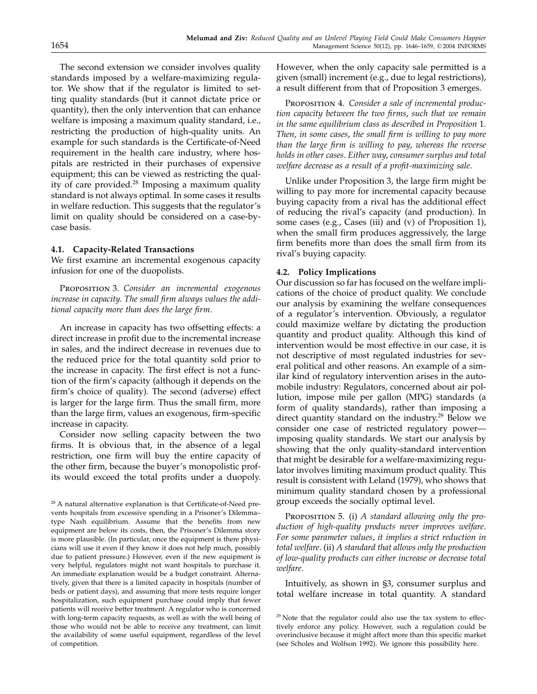The second extension we consider involves quality standards imposed by a welfare-maximizing regulator. We show that if the regulator is limited to setting quality standards (but it cannot dictate price or quantity), then the only intervention that can enhance welfare is imposing a maximum quality standard, i.e., restricting the production of high-quality units. An example for such standards is the Certificate-of-Need requirement in the health care industry, where hospitals are restricted in their purchases of expensive equipment; this can be viewed as restricting the quality of care provided. $28$  Imposing a maximum quality standard is not always optimal. In some cases it results in welfare reduction. This suggests that the regulator's limit on quality should be considered on a case-bycase basis.

### 4.1. Capacity-Related Transactions

We first examine an incremental exogenous capacity infusion for one of the duopolists.

PROPOSITION 3. Consider an incremental exogenous increase in capacity. The small firm always values the additional capacity more than does the large firm.

An increase in capacity has two offsetting effects: a direct increase in profit due to the incremental increase in sales, and the indirect decrease in revenues due to the reduced price for the total quantity sold prior to the increase in capacity. The first effect is not a function of the firm's capacity (although it depends on the firm's choice of quality). The second (adverse) effect is larger for the large firm. Thus the small firm, more than the large firm, values an exogenous, firm-specific increase in capacity.

Consider now selling capacity between the two firms. It is obvious that, in the absence of a legal restriction, one firm will buy the entire capacity of the other firm, because the buyer's monopolistic profits would exceed the total profits under a duopoly.

However, when the only capacity sale permitted is a given (small) increment (e.g., due to legal restrictions), a result different from that of Proposition 3 emerges.

PROPOSITION 4. Consider a sale of incremental production capacity between the two firms, such that we remain in the same equilibrium class as described in Proposition 1. Then, in some cases, the small firm is willing to pay more than the large firm is willing to pay, whereas the reverse holds in other cases. Either way, consumer surplus and total welfare decrease as a result of a profit-maximizing sale.

Unlike under Proposition 3, the large firm might be willing to pay more for incremental capacity because buying capacity from a rival has the additional effect of reducing the rival's capacity (and production). In some cases (e.g., Cases (iii) and (v) of Proposition 1), when the small firm produces aggressively, the large firm benefits more than does the small firm from its rival's buying capacity.

## 4.2. Policy Implications

Our discussion so far has focused on the welfare implications of the choice of product quality. We conclude our analysis by examining the welfare consequences of a regulator's intervention. Obviously, a regulator could maximize welfare by dictating the production quantity and product quality. Although this kind of intervention would be most effective in our case, it is not descriptive of most regulated industries for several political and other reasons. An example of a similar kind of regulatory intervention arises in the automobile industry: Regulators, concerned about air pollution, impose mile per gallon (MPG) standards (a form of quality standards), rather than imposing a direct quantity standard on the industry.<sup>29</sup> Below we consider one case of restricted regulatory power imposing quality standards. We start our analysis by showing that the only quality-standard intervention that might be desirable for a welfare-maximizing regulator involves limiting maximum product quality. This result is consistent with Leland (1979), who shows that minimum quality standard chosen by a professional group exceeds the socially optimal level.

PROPOSITION 5. (i) A standard allowing only the production of high-quality products never improves welfare. For some parameter values, it implies a strict reduction in total welfare. (ii) A standard that allows only the production of low-quality products can either increase or decrease total welfare.

Intuitively, as shown in §3, consumer surplus and total welfare increase in total quantity. A standard

<sup>&</sup>lt;sup>28</sup> A natural alternative explanation is that Certificate-of-Need prevents hospitals from excessive spending in a Prisoner's Dilemma– type Nash equilibrium. Assume that the benefits from new equipment are below its costs, then, the Prisoner's Dilemma story is more plausible. (In particular, once the equipment is there physicians will use it even if they know it does not help much, possibly due to patient pressure.) However, even if the new equipment is very helpful, regulators might not want hospitals to purchase it. An immediate explanation would be a budget constraint. Alternatively, given that there is a limited capacity in hospitals (number of beds or patient days), and assuming that more tests require longer hospitalization, such equipment purchase could imply that fewer patients will receive better treatment. A regulator who is concerned with long-term capacity requests, as well as with the well being of those who would not be able to receive any treatment, can limit the availability of some useful equipment, regardless of the level of competition.

 $29$  Note that the regulator could also use the tax system to effectively enforce any policy. However, such a regulation could be overinclusive because it might affect more than this specific market (see Scholes and Wolfson 1992). We ignore this possibility here.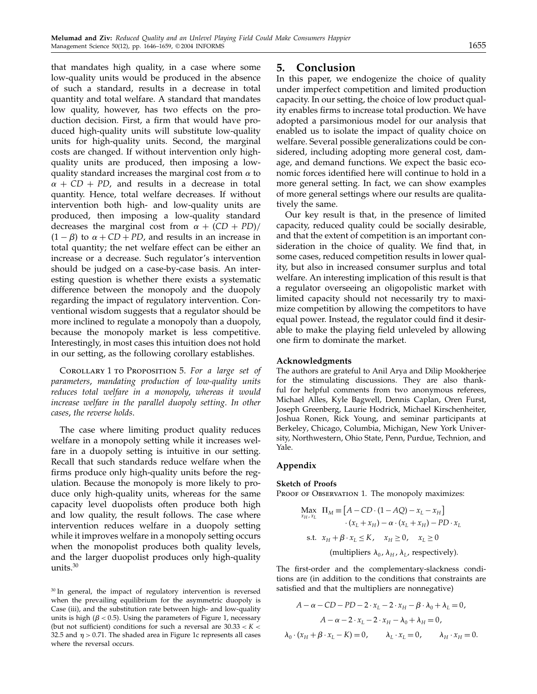that mandates high quality, in a case where some low-quality units would be produced in the absence of such a standard, results in a decrease in total quantity and total welfare. A standard that mandates low quality, however, has two effects on the production decision. First, a firm that would have produced high-quality units will substitute low-quality units for high-quality units. Second, the marginal costs are changed. If without intervention only highquality units are produced, then imposing a lowquality standard increases the marginal cost from  $\alpha$  to  $\alpha$  + CD + PD, and results in a decrease in total quantity. Hence, total welfare decreases. If without intervention both high- and low-quality units are produced, then imposing a low-quality standard decreases the marginal cost from  $\alpha + (CD + PD)/$  $(1 - \beta)$  to  $\alpha + CD + PD$ , and results in an increase in total quantity; the net welfare effect can be either an increase or a decrease. Such regulator's intervention should be judged on a case-by-case basis. An interesting question is whether there exists a systematic difference between the monopoly and the duopoly regarding the impact of regulatory intervention. Conventional wisdom suggests that a regulator should be more inclined to regulate a monopoly than a duopoly, because the monopoly market is less competitive. Interestingly, in most cases this intuition does not hold in our setting, as the following corollary establishes.

Corollary 1 to Proposition 5. For a large set of parameters, mandating production of low-quality units reduces total welfare in a monopoly, whereas it would increase welfare in the parallel duopoly setting. In other cases, the reverse holds.

The case where limiting product quality reduces welfare in a monopoly setting while it increases welfare in a duopoly setting is intuitive in our setting. Recall that such standards reduce welfare when the firms produce only high-quality units before the regulation. Because the monopoly is more likely to produce only high-quality units, whereas for the same capacity level duopolists often produce both high and low quality, the result follows. The case where intervention reduces welfare in a duopoly setting while it improves welfare in a monopoly setting occurs when the monopolist produces both quality levels, and the larger duopolist produces only high-quality units.<sup>30</sup>

# 5. Conclusion

In this paper, we endogenize the choice of quality under imperfect competition and limited production capacity. In our setting, the choice of low product quality enables firms to increase total production. We have adopted a parsimonious model for our analysis that enabled us to isolate the impact of quality choice on welfare. Several possible generalizations could be considered, including adopting more general cost, damage, and demand functions. We expect the basic economic forces identified here will continue to hold in a more general setting. In fact, we can show examples of more general settings where our results are qualitatively the same.

Our key result is that, in the presence of limited capacity, reduced quality could be socially desirable, and that the extent of competition is an important consideration in the choice of quality. We find that, in some cases, reduced competition results in lower quality, but also in increased consumer surplus and total welfare. An interesting implication of this result is that a regulator overseeing an oligopolistic market with limited capacity should not necessarily try to maximize competition by allowing the competitors to have equal power. Instead, the regulator could find it desirable to make the playing field unleveled by allowing one firm to dominate the market.

### Acknowledgments

The authors are grateful to Anil Arya and Dilip Mookherjee for the stimulating discussions. They are also thankful for helpful comments from two anonymous referees, Michael Alles, Kyle Bagwell, Dennis Caplan, Oren Furst, Joseph Greenberg, Laurie Hodrick, Michael Kirschenheiter, Joshua Ronen, Rick Young, and seminar participants at Berkeley, Chicago, Columbia, Michigan, New York University, Northwestern, Ohio State, Penn, Purdue, Technion, and Yale.

#### Appendix

 $\lambda$ 

#### Sketch of Proofs

PROOF OF OBSERVATION 1. The monopoly maximizes:

$$
\begin{aligned}\n\text{Max} \quad & \Pi_M \equiv \left[ A - CD \cdot (1 - AQ) - x_L - x_H \right] \\
& \cdot (x_L + x_H) - \alpha \cdot (x_L + x_H) - PD \cdot x_L \\
\text{s.t.} \quad & x_H + \beta \cdot x_L \le K, \quad x_H \ge 0, \quad x_L \ge 0 \\
& \text{(multipliers } \lambda_0, \lambda_H, \lambda_L, \text{ respectively).}\n\end{aligned}
$$

The first-order and the complementary-slackness conditions are (in addition to the conditions that constraints are satisfied and that the multipliers are nonnegative)

$$
A - \alpha - CD - PD - 2 \cdot x_L - 2 \cdot x_H - \beta \cdot \lambda_0 + \lambda_L = 0,
$$
  
\n
$$
A - \alpha - 2 \cdot x_L - 2 \cdot x_H - \lambda_0 + \lambda_H = 0,
$$
  
\n
$$
A \cdot (x_H + \beta \cdot x_L - K) = 0, \qquad \lambda_L \cdot x_L = 0, \qquad \lambda_H \cdot x_H = 0.
$$

<sup>&</sup>lt;sup>30</sup> In general, the impact of regulatory intervention is reversed when the prevailing equilibrium for the asymmetric duopoly is Case (iii), and the substitution rate between high- and low-quality units is high ( $\beta$  < 0.5). Using the parameters of Figure 1, necessary (but not sufficient) conditions for such a reversal are  $30.33 < K <$ 32.5 and  $\eta$  > 0.71. The shaded area in Figure 1c represents all cases where the reversal occurs.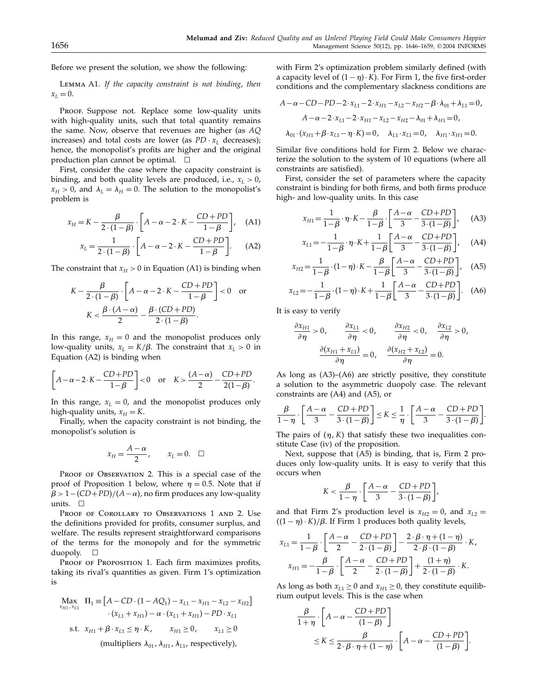Before we present the solution, we show the following:

Lemma A1. If the capacity constraint is not binding, then  $x_L = 0.$ 

PROOF. Suppose not. Replace some low-quality units with high-quality units, such that total quantity remains the same. Now, observe that revenues are higher (as AQ increases) and total costs are lower (as  $PD \cdot x_L$  decreases); hence, the monopolist's profits are higher and the original production plan cannot be optimal.  $\square$ 

First, consider the case where the capacity constraint is binding, and both quality levels are produced, i.e.,  $x_L > 0$ ,  $x_H > 0$ , and  $\lambda_L = \lambda_H = 0$ . The solution to the monopolist's problem is

$$
x_H = K - \frac{\beta}{2 \cdot (1 - \beta)} \cdot \left[ A - \alpha - 2 \cdot K - \frac{CD + PD}{1 - \beta} \right], \quad (A1)
$$

$$
x_L = \frac{1}{2 \cdot (1 - \beta)} \cdot \left[ A - \alpha - 2 \cdot K - \frac{CD + PD}{1 - \beta} \right].
$$
 (A2)

The constraint that  $x_H > 0$  in Equation (A1) is binding when

$$
K - \frac{\beta}{2 \cdot (1 - \beta)} \cdot \left[ A - \alpha - 2 \cdot K - \frac{CD + PD}{1 - \beta} \right] < 0 \quad \text{or}
$$
\n
$$
K < \frac{\beta \cdot (A - \alpha)}{2} - \frac{\beta \cdot (CD + PD)}{2 \cdot (1 - \beta)}.
$$

In this range,  $x_H = 0$  and the monopolist produces only low-quality units,  $x_L = K/\beta$ . The constraint that  $x_L > 0$  in Equation (A2) is binding when

$$
\left[A-\alpha-2\cdot K-\frac{CD+PD}{1-\beta}\right]<0 \quad \text{or} \quad K>\frac{(A-\alpha)}{2}-\frac{CD+PD}{2(1-\beta)}.
$$

In this range,  $x_L = 0$ , and the monopolist produces only high-quality units,  $x_H = K$ .

Finally, when the capacity constraint is not binding, the monopolist's solution is

$$
x_H = \frac{A - \alpha}{2}, \qquad x_L = 0. \quad \Box
$$

PROOF OF OBSERVATION 2. This is a special case of the proof of Proposition 1 below, where  $\eta = 0.5$ . Note that if  $\beta$  > 1 – (CD+PD)/(A –  $\alpha$ ), no firm produces any low-quality units.  $\square$ 

PROOF OF COROLLARY TO OBSERVATIONS 1 AND 2. Use the definitions provided for profits, consumer surplus, and welfare. The results represent straightforward comparisons of the terms for the monopoly and for the symmetric duopoly.  $\Box$ 

PROOF OF PROPOSITION 1. Each firm maximizes profits, taking its rival's quantities as given. Firm 1's optimization is

$$
\begin{aligned}\n\text{Max} \quad & \Pi_1 \equiv \left[ A - CD \cdot (1 - AQ_1) - x_{L1} - x_{H1} - x_{L2} - x_{H2} \right] \\
& \cdot (x_{L1} + x_{H1}) - \alpha \cdot (x_{L1} + x_{H1}) - PD \cdot x_{L1} \\
\text{s.t.} \quad & x_{H1} + \beta \cdot x_{L1} \le \eta \cdot K, \qquad x_{H1} \ge 0, \qquad x_{L1} \ge 0\n\end{aligned}
$$
\n(multiplying ). )

(multipliers  $\lambda_{01}$ ,  $\lambda_{H1}$ ,  $\lambda_{L1}$ , respectively),

with Firm 2's optimization problem similarly defined (with a capacity level of  $(1 - \eta) \cdot K$ ). For Firm 1, the five first-order conditions and the complementary slackness conditions are

$$
A - \alpha - CD - PD - 2 \cdot x_{L1} - 2 \cdot x_{H1} - x_{L2} - x_{H2} - \beta \cdot \lambda_{01} + \lambda_{L1} = 0,
$$
  
\n
$$
A - \alpha - 2 \cdot x_{L1} - 2 \cdot x_{H1} - x_{L2} - x_{H2} - \lambda_{01} + \lambda_{H1} = 0,
$$
  
\n
$$
\lambda_{01} \cdot (x_{H1} + \beta \cdot x_{L1} - \eta \cdot K) = 0, \quad \lambda_{L1} \cdot x_{L1} = 0, \quad \lambda_{H1} \cdot x_{H1} = 0.
$$

Similar five conditions hold for Firm 2. Below we characterize the solution to the system of 10 equations (where all constraints are satisfied).

First, consider the set of parameters where the capacity constraint is binding for both firms, and both firms produce high- and low-quality units. In this case

$$
x_{H1} = \frac{1}{1-\beta} \cdot \eta \cdot K - \frac{\beta}{1-\beta} \cdot \left[ \frac{A-\alpha}{3} - \frac{CD+PD}{3 \cdot (1-\beta)} \right], \quad \text{(A3)}
$$

$$
x_{L1} = -\frac{1}{1-\beta} \cdot \eta \cdot K + \frac{1}{1-\beta} \left[ \frac{A-\alpha}{3} - \frac{CD+PD}{3 \cdot (1-\beta)} \right], \quad (A4)
$$

$$
x_{H2} = \frac{1}{1-\beta} \cdot (1-\eta) \cdot K - \frac{\beta}{1-\beta} \left[ \frac{A-\alpha}{3} - \frac{CD+PD}{3 \cdot (1-\beta)} \right], \quad (A5)
$$

$$
x_{L2} = -\frac{1}{1-\beta} \cdot (1-\eta) \cdot K + \frac{1}{1-\beta} \left[ \frac{A-\alpha}{3} - \frac{CD+PD}{3 \cdot (1-\beta)} \right]. \quad (A6)
$$

It is easy to verify

$$
\frac{\partial x_{H1}}{\partial \eta} > 0, \qquad \frac{\partial x_{L1}}{\partial \eta} < 0, \qquad \frac{\partial x_{H2}}{\partial \eta} < 0, \qquad \frac{\partial x_{L2}}{\partial \eta} > 0,
$$

$$
\frac{\partial (x_{H1} + x_{L1})}{\partial \eta} = 0, \qquad \frac{\partial (x_{H2} + x_{L2})}{\partial \eta} = 0.
$$

As long as (A3)–(A6) are strictly positive, they constitute a solution to the asymmetric duopoly case. The relevant constraints are (A4) and (A5), or

$$
\frac{\beta}{1-\eta} \cdot \left[ \frac{A-\alpha}{3} - \frac{CD+PD}{3\cdot(1-\beta)} \right] \leq K \leq \frac{1}{\eta} \cdot \left[ \frac{A-\alpha}{3} - \frac{CD+PD}{3\cdot(1-\beta)} \right].
$$

The pairs of  $(\eta, K)$  that satisfy these two inequalities constitute Case (iv) of the proposition.

Next, suppose that (A5) is binding, that is, Firm 2 produces only low-quality units. It is easy to verify that this occurs when

$$
K < \frac{\beta}{1-\eta} \cdot \left[ \frac{A-\alpha}{3} - \frac{CD+PD}{3\cdot(1-\beta)} \right],
$$

and that Firm 2's production level is  $x_{H2} = 0$ , and  $x_{L2} =$  $((1 - \eta) \cdot K)/\beta$ . If Firm 1 produces both quality levels,

$$
x_{L1} = \frac{1}{1 - \beta} \cdot \left[ \frac{A - \alpha}{2} - \frac{CD + PD}{2 \cdot (1 - \beta)} \right] - \frac{2 \cdot \beta \cdot \eta + (1 - \eta)}{2 \cdot \beta \cdot (1 - \beta)} \cdot K,
$$
  

$$
x_{H1} = -\frac{\beta}{1 - \beta} \cdot \left[ \frac{A - \alpha}{2} - \frac{CD + PD}{2 \cdot (1 - \beta)} \right] + \frac{(1 + \eta)}{2 \cdot (1 - \beta)} \cdot K.
$$

As long as both  $x_{L1} \geq 0$  and  $x_{H1} \geq 0$ , they constitute equilibrium output levels. This is the case when

$$
\frac{\beta}{1+\eta} \cdot \left[ A - \alpha - \frac{CD + PD}{(1-\beta)} \right]
$$
  

$$
\leq K \leq \frac{\beta}{2 \cdot \beta \cdot \eta + (1-\eta)} \cdot \left[ A - \alpha - \frac{CD + PD}{(1-\beta)} \right]
$$

.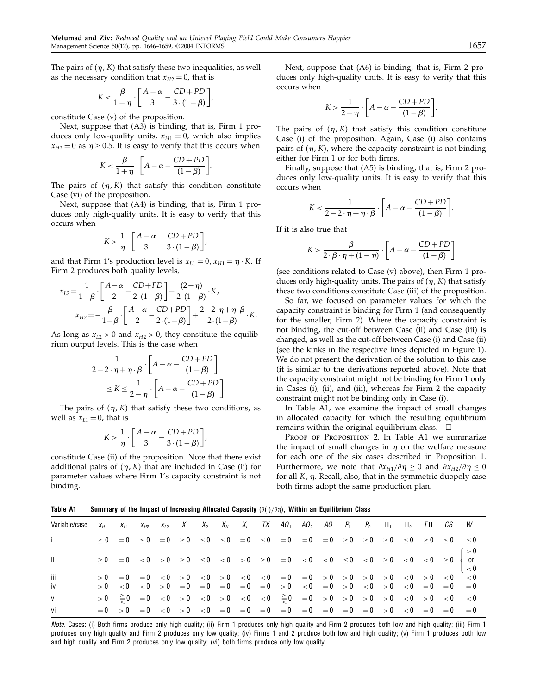The pairs of  $(\eta, K)$  that satisfy these two inequalities, as well as the necessary condition that  $x_{H2} = 0$ , that is

$$
K<\frac{\beta}{1-\eta}\cdot\left[\frac{A-\alpha}{3}-\frac{CD+PD}{3\cdot(1-\beta)}\right],
$$

constitute Case (v) of the proposition.

Next, suppose that (A3) is binding, that is, Firm 1 produces only low-quality units,  $x_{H1} = 0$ , which also implies  $x_{H2} = 0$  as  $\eta \ge 0.5$ . It is easy to verify that this occurs when

$$
K < \frac{\beta}{1+\eta} \cdot \left[ A - \alpha - \frac{CD + PD}{(1-\beta)} \right].
$$

The pairs of  $(\eta, K)$  that satisfy this condition constitute Case (vi) of the proposition.

Next, suppose that (A4) is binding, that is, Firm 1 produces only high-quality units. It is easy to verify that this occurs when

$$
K > \frac{1}{\eta} \cdot \left[ \frac{A - \alpha}{3} - \frac{CD + PD}{3 \cdot (1 - \beta)} \right],
$$

and that Firm 1's production level is  $x_{L1} = 0$ ,  $x_{H1} = \eta \cdot K$ . If Firm 2 produces both quality levels,

$$
x_{L2} = \frac{1}{1-\beta} \cdot \left[ \frac{A-\alpha}{2} - \frac{CD+PD}{2 \cdot (1-\beta)} \right] - \frac{(2-\eta)}{2 \cdot (1-\beta)} \cdot K,
$$
  

$$
x_{H2} = -\frac{\beta}{1-\beta} \cdot \left[ \frac{A-\alpha}{2} - \frac{CD+PD}{2 \cdot (1-\beta)} \right] + \frac{2-2 \cdot \eta + \eta \cdot \beta}{2 \cdot (1-\beta)} \cdot K.
$$

As long as  $x_{L2} > 0$  and  $x_{H2} > 0$ , they constitute the equilibrium output levels. This is the case when

$$
\frac{1}{2-2\cdot\eta+\eta\cdot\beta}\cdot\left[A-\alpha-\frac{CD+PD}{(1-\beta)}\right]
$$

$$
\leq K \leq \frac{1}{2-\eta}\cdot\left[A-\alpha-\frac{CD+PD}{(1-\beta)}\right].
$$

The pairs of  $(\eta, K)$  that satisfy these two conditions, as well as  $x_{L1} = 0$ , that is

$$
K > \frac{1}{\eta} \cdot \left[ \frac{A - \alpha}{3} - \frac{CD + PD}{3 \cdot (1 - \beta)} \right],
$$

constitute Case (ii) of the proposition. Note that there exist additional pairs of  $(\eta, K)$  that are included in Case (ii) for parameter values where Firm 1's capacity constraint is not binding.

Next, suppose that (A6) is binding, that is, Firm 2 produces only high-quality units. It is easy to verify that this occurs when

$$
K > \frac{1}{2-\eta} \cdot \left[ A - \alpha - \frac{CD + PD}{(1-\beta)} \right].
$$

The pairs of  $(\eta, K)$  that satisfy this condition constitute Case (i) of the proposition. Again, Case (i) also contains pairs of  $(\eta, K)$ , where the capacity constraint is not binding either for Firm 1 or for both firms.

Finally, suppose that (A5) is binding, that is, Firm 2 produces only low-quality units. It is easy to verify that this occurs when

$$
K < \frac{1}{2 - 2 \cdot \eta + \eta \cdot \beta} \cdot \left[ A - \alpha - \frac{CD + PD}{(1 - \beta)} \right]
$$

If it is also true that

$$
K > \frac{\beta}{2 \cdot \beta \cdot \eta + (1 - \eta)} \cdot \left[ A - \alpha - \frac{CD + PD}{(1 - \beta)} \right]
$$

(see conditions related to Case (v) above), then Firm 1 produces only high-quality units. The pairs of  $(\eta, K)$  that satisfy these two conditions constitute Case (iii) of the proposition.

So far, we focused on parameter values for which the capacity constraint is binding for Firm 1 (and consequently for the smaller, Firm 2). Where the capacity constraint is not binding, the cut-off between Case (ii) and Case (iii) is changed, as well as the cut-off between Case (i) and Case (ii) (see the kinks in the respective lines depicted in Figure 1). We do not present the derivation of the solution to this case (it is similar to the derivations reported above). Note that the capacity constraint might not be binding for Firm 1 only in Cases (i), (ii), and (iii), whereas for Firm 2 the capacity constraint might not be binding only in Case (i).

In Table A1, we examine the impact of small changes in allocated capacity for which the resulting equilibrium remains within the original equilibrium class.  $\Box$ 

PROOF OF PROPOSITION 2. In Table A1 we summarize the impact of small changes in  $\eta$  on the welfare measure for each one of the six cases described in Proposition 1. Furthermore, we note that  $\partial x_{H1}/\partial \eta \ge 0$  and  $\partial x_{H2}/\partial \eta \le 0$ for all  $K$ ,  $\eta$ . Recall, also, that in the symmetric duopoly case both firms adopt the same production plan.

Table A1 Summary of the Impact of Increasing Allocated Capacity · / , Within an Equilibrium Class

| Variable/case                 |  |  |  |  |  | $x_{H1}$ $x_{L1}$ $x_{H2}$ $x_{L2}$ $x_1$ $x_2$ $x_H$ $x_L$ $x_K$ $x_1$ $x_2$ $x_3$ $x_4$ $x_2$ $x_3$ $x_4$ $x_4$ $x_5$ $x_6$ $x_7$                                                                                              |  |  |  |  |
|-------------------------------|--|--|--|--|--|----------------------------------------------------------------------------------------------------------------------------------------------------------------------------------------------------------------------------------|--|--|--|--|
| $\mathbf{i}$ and $\mathbf{j}$ |  |  |  |  |  | $\geq 0 \quad = 0 \quad \leq 0 \quad = 0 \quad \geq 0 \quad \leq 0 \quad \leq 0 \quad = 0 \quad \leq 0 \quad = 0 \quad = 0 \quad = 0 \quad \geq 0 \quad \geq 0 \quad \geq 0 \quad \geq 0 \quad \leq 0 \quad \leq 0 \quad \leq 0$ |  |  |  |  |
| ii.                           |  |  |  |  |  | $\geq 0$ $= 0$ $< 0$ $> 0$ $\geq 0$ $\leq 0$ $> 0$ $\geq 0$ $= 0$ $< 0$ $\leq 0$ $\leq 0$ $\leq 0$ $\geq 0$ $\leq 0$ $\geq 0$ $\geq 0$ $\geq 0$ $\geq 0$ $\geq 0$ $\geq 0$                                                       |  |  |  |  |
| iii<br>iv                     |  |  |  |  |  | $>0$ $<0$ $<0$ $>0$ $=0$ $=0$ $=0$ $=0$ $=0$ $>0$ $<0$ $=0$ $>0$ $<0$ $>0$ $<0$ $=0$ $=0$ $=0$                                                                                                                                   |  |  |  |  |
| V                             |  |  |  |  |  | $>0$ $\geq 0$ $=0$ $<0$ $>0$ $<0$ $>0$ $<0$ $\geq 0$ $\geq 0$ $=0$ $>0$ $>0$ $>0$ $>0$ $<0$ $<0$ $<0$                                                                                                                            |  |  |  |  |
| vi                            |  |  |  |  |  |                                                                                                                                                                                                                                  |  |  |  |  |

Note. Cases: (i) Both firms produce only high quality; (ii) Firm 1 produces only high quality and Firm 2 produces both low and high quality; (iii) Firm 1 produces only high quality and Firm 2 produces only low quality; (iv) Firms 1 and 2 produce both low and high quality; (v) Firm 1 produces both low and high quality and Firm 2 produces only low quality; (vi) both firms produce only low quality.

.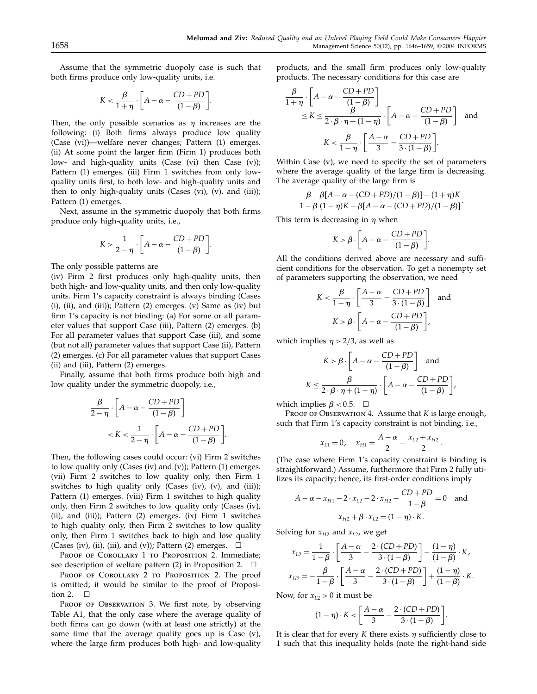Assume that the symmetric duopoly case is such that both firms produce only low-quality units, i.e.

$$
K < \frac{\beta}{1+\eta} \cdot \left[ A - \alpha - \frac{CD + PD}{(1-\beta)} \right].
$$

Then, the only possible scenarios as  $\eta$  increases are the following: (i) Both firms always produce low quality (Case (vi))—welfare never changes; Pattern (1) emerges. (ii) At some point the larger firm (Firm 1) produces both low- and high-quality units (Case (vi) then Case (v)); Pattern (1) emerges. (iii) Firm 1 switches from only lowquality units first, to both low- and high-quality units and then to only high-quality units (Cases (vi), (v), and (iii)); Pattern (1) emerges.

Next, assume in the symmetric duopoly that both firms produce only high-quality units, i.e.,

$$
K > \frac{1}{2-\eta} \cdot \left[ A - \alpha - \frac{CD + PD}{(1-\beta)} \right].
$$

The only possible patterns are

(iv) Firm 2 first produces only high-quality units, then both high- and low-quality units, and then only low-quality units. Firm 1's capacity constraint is always binding (Cases (i), (ii), and (iii)); Pattern (2) emerges. (v) Same as (iv) but firm 1's capacity is not binding: (a) For some or all parameter values that support Case (iii), Pattern (2) emerges. (b) For all parameter values that support Case (iii), and some (but not all) parameter values that support Case (ii), Pattern (2) emerges. (c) For all parameter values that support Cases (ii) and (iii), Pattern (2) emerges.

Finally, assume that both firms produce both high and low quality under the symmetric duopoly, i.e.,

$$
\frac{\beta}{2-\eta} \cdot \left[ A - \alpha - \frac{CD + PD}{(1-\beta)} \right]
$$
  
<  $K < \frac{1}{2-\eta} \cdot \left[ A - \alpha - \frac{CD + PD}{(1-\beta)} \right]$ 

.

Then, the following cases could occur: (vi) Firm 2 switches to low quality only (Cases (iv) and (v)); Pattern  $(1)$  emerges. (vii) Firm 2 switches to low quality only, then Firm 1 switches to high quality only (Cases (iv), (v), and (iii)); Pattern (1) emerges. (viii) Firm 1 switches to high quality only, then Firm 2 switches to low quality only (Cases (iv), (ii), and (iii)); Pattern (2) emerges. (ix) Firm 1 switches to high quality only, then Firm 2 switches to low quality only, then Firm 1 switches back to high and low quality (Cases (iv), (ii), (iii), and (v)); Pattern (2) emerges.  $\Box$ 

PROOF OF COROLLARY 1 TO PROPOSITION 2. Immediate; see description of welfare pattern (2) in Proposition 2.  $\Box$ 

PROOF OF COROLLARY 2 TO PROPOSITION 2. The proof is omitted; it would be similar to the proof of Proposition 2.  $\square$ 

PROOF OF OBSERVATION 3. We first note, by observing Table A1, that the only case where the average quality of both firms can go down (with at least one strictly) at the same time that the average quality goes up is Case (v), where the large firm produces both high- and low-quality

products, and the small firm produces only low-quality products. The necessary conditions for this case are

$$
\frac{\beta}{1+\eta} \cdot \left[ A - \alpha - \frac{CD + PD}{(1-\beta)} \right]
$$
\n
$$
\leq K \leq \frac{\beta}{2 \cdot \beta \cdot \eta + (1-\eta)} \cdot \left[ A - \alpha - \frac{CD + PD}{(1-\beta)} \right] \text{ and }
$$
\n
$$
K < \frac{\beta}{1-\eta} \cdot \left[ \frac{A-\alpha}{3} - \frac{CD + PD}{3 \cdot (1-\beta)} \right].
$$

Within Case (v), we need to specify the set of parameters where the average quality of the large firm is decreasing. The average quality of the large firm is

$$
\frac{\beta}{1-\beta} \frac{\beta[A-\alpha-(CD+PD)/(1-\beta)]-(1+\eta)K}{(1-\eta)K-\beta[A-\alpha-(CD+PD)/(1-\beta)]}.
$$

This term is decreasing in  $\eta$  when

$$
K > \beta \cdot \left[A - \alpha - \frac{CD + PD}{(1 - \beta)}\right].
$$

All the conditions derived above are necessary and sufficient conditions for the observation. To get a nonempty set of parameters supporting the observation, we need

$$
K < \frac{\beta}{1-\eta} \cdot \left[ \frac{A-\alpha}{3} - \frac{CD+PD}{3\cdot(1-\beta)} \right] \quad \text{and}
$$
\n
$$
K > \beta \cdot \left[ A - \alpha - \frac{CD+PD}{(1-\beta)} \right],
$$

which implies  $\eta > 2/3$ , as well as

$$
K > \beta \cdot \left[ A - \alpha - \frac{CD + PD}{(1 - \beta)} \right] \text{ and}
$$

$$
K \le \frac{\beta}{2 \cdot \beta \cdot \eta + (1 - \eta)} \cdot \left[ A - \alpha - \frac{CD + PD}{(1 - \beta)} \right],
$$

which implies  $\beta$  < 0.5.  $\Box$ 

PROOF OF OBSERVATION 4. Assume that  $K$  is large enough, such that Firm 1's capacity constraint is not binding, i.e.,

$$
x_{L1}=0, \quad x_{H1}=\frac{A-\alpha}{2}-\frac{x_{L2}+x_{H2}}{2}.
$$

(The case where Firm 1's capacity constraint is binding is straightforward.) Assume, furthermore that Firm 2 fully utilizes its capacity; hence, its first-order conditions imply

$$
A - \alpha - x_{H1} - 2 \cdot x_{L2} - 2 \cdot x_{H2} - \frac{CD + PD}{1 - \beta} = 0 \text{ and}
$$

$$
x_{H2} + \beta \cdot x_{L2} = (1 - \eta) \cdot K.
$$

Solving for  $x_{H2}$  and  $x_{L2}$ , we get

$$
x_{L2} = \frac{1}{1-\beta} \cdot \left[ \frac{A-\alpha}{3} - \frac{2 \cdot (CD + PD)}{3 \cdot (1-\beta)} \right] - \frac{(1-\eta)}{(1-\beta)} \cdot K,
$$
  

$$
x_{H2} = -\frac{\beta}{1-\beta} \cdot \left[ \frac{A-\alpha}{3} - \frac{2 \cdot (CD + PD)}{3 \cdot (1-\beta)} \right] + \frac{(1-\eta)}{(1-\beta)} \cdot K.
$$

Now, for  $x_{L2} > 0$  it must be

$$
(1-\eta)\cdot K < \left[\frac{A-\alpha}{3}-\frac{2\cdot (CD+PD)}{3\cdot (1-\beta)}\right].
$$

It is clear that for every  $K$  there exists  $\eta$  sufficiently close to 1 such that this inequality holds (note the right-hand side